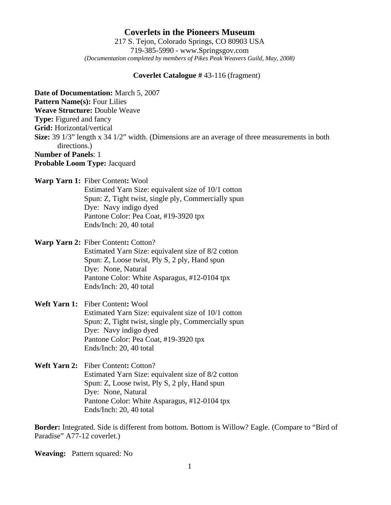# **Coverlets in the Pioneers Museum** 217 S. Tejon, Colorado Springs, CO 80903 USA 719-385-5990 - www.Springsgov.com *(Documentation completed by members of Pikes Peak Weavers Guild, May, 2008)*

### **Coverlet Catalogue #** 43-116 (fragment)

**Date of Documentation:** March 5, 2007 **Pattern Name(s):** Four Lilies **Weave Structure:** Double Weave **Type:** Figured and fancy **Grid:** Horizontal/vertical **Size:** 39 1/3" length x 34 1/2" width. (Dimensions are an average of three measurements in both directions.) **Number of Panels**: 1 **Probable Loom Type:** Jacquard

**Warp Yarn 1:** Fiber Content**:** Wool

 Estimated Yarn Size: equivalent size of 10/1 cotton Spun: Z, Tight twist, single ply, Commercially spun Dye: Navy indigo dyed Pantone Color: Pea Coat, #19-3920 tpx Ends/Inch: 20, 40 total

**Warp Yarn 2:** Fiber Content**:** Cotton?

 Estimated Yarn Size: equivalent size of 8/2 cotton Spun: Z, Loose twist, Ply S, 2 ply, Hand spun Dye: None, Natural Pantone Color: White Asparagus, #12-0104 tpx Ends/Inch: 20, 40 total

# **Weft Yarn 1:** Fiber Content**:** Wool Estimated Yarn Size: equivalent size of 10/1 cotton Spun: Z, Tight twist, single ply, Commercially spun Dye: Navy indigo dyed Pantone Color: Pea Coat, #19-3920 tpx Ends/Inch: 20, 40 total

**Weft Yarn 2:** Fiber Content**:** Cotton? Estimated Yarn Size: equivalent size of 8/2 cotton Spun: Z, Loose twist, Ply S, 2 ply, Hand spun Dye: None, Natural Pantone Color: White Asparagus, #12-0104 tpx Ends/Inch: 20, 40 total

**Border:** Integrated. Side is different from bottom. Bottom is Willow? Eagle. (Compare to "Bird of Paradise" A77-12 coverlet.)

**Weaving:** Pattern squared: No